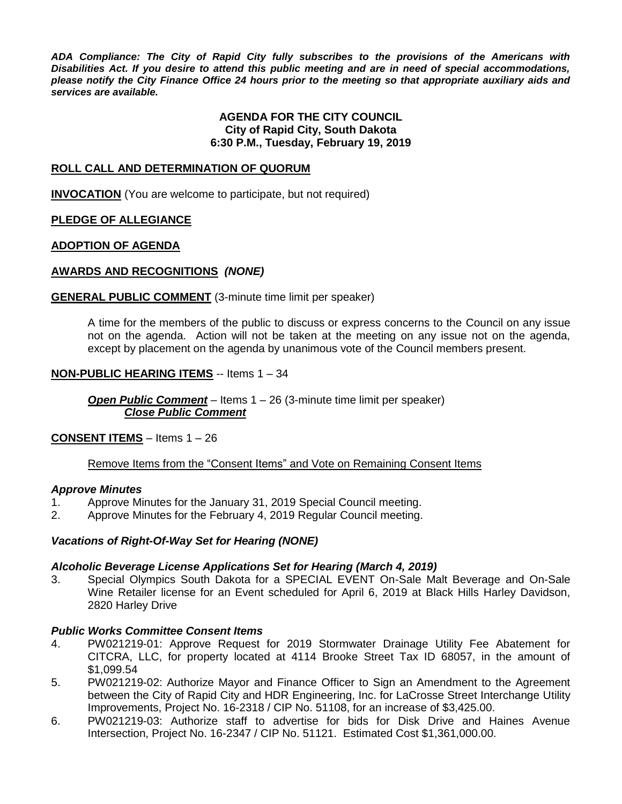*ADA Compliance: The City of Rapid City fully subscribes to the provisions of the Americans with Disabilities Act. If you desire to attend this public meeting and are in need of special accommodations, please notify the City Finance Office 24 hours prior to the meeting so that appropriate auxiliary aids and services are available.*

#### **AGENDA FOR THE CITY COUNCIL City of Rapid City, South Dakota 6:30 P.M., Tuesday, February 19, 2019**

#### **ROLL CALL AND DETERMINATION OF QUORUM**

**INVOCATION** (You are welcome to participate, but not required)

### **PLEDGE OF ALLEGIANCE**

#### **ADOPTION OF AGENDA**

#### **AWARDS AND RECOGNITIONS** *(NONE)*

#### **GENERAL PUBLIC COMMENT** (3-minute time limit per speaker)

A time for the members of the public to discuss or express concerns to the Council on any issue not on the agenda. Action will not be taken at the meeting on any issue not on the agenda, except by placement on the agenda by unanimous vote of the Council members present.

#### **NON-PUBLIC HEARING ITEMS** -- Items 1 – 34

*Open Public Comment* – Items 1 – 26 (3-minute time limit per speaker) *Close Public Comment*

#### **CONSENT ITEMS** – Items 1 – 26

#### Remove Items from the "Consent Items" and Vote on Remaining Consent Items

#### *Approve Minutes*

- 1. Approve Minutes for the January 31, 2019 Special Council meeting.
- 2. Approve Minutes for the February 4, 2019 Regular Council meeting.

#### *Vacations of Right-Of-Way Set for Hearing (NONE)*

#### *Alcoholic Beverage License Applications Set for Hearing (March 4, 2019)*

3. Special Olympics South Dakota for a SPECIAL EVENT On-Sale Malt Beverage and On-Sale Wine Retailer license for an Event scheduled for April 6, 2019 at Black Hills Harley Davidson, 2820 Harley Drive

#### *Public Works Committee Consent Items*

- 4. PW021219-01: Approve Request for 2019 Stormwater Drainage Utility Fee Abatement for CITCRA, LLC, for property located at 4114 Brooke Street Tax ID 68057, in the amount of \$1,099.54
- 5. PW021219-02: Authorize Mayor and Finance Officer to Sign an Amendment to the Agreement between the City of Rapid City and HDR Engineering, Inc. for LaCrosse Street Interchange Utility Improvements, Project No. 16-2318 / CIP No. 51108, for an increase of \$3,425.00.
- 6. PW021219-03: Authorize staff to advertise for bids for Disk Drive and Haines Avenue Intersection, Project No. 16-2347 / CIP No. 51121. Estimated Cost \$1,361,000.00.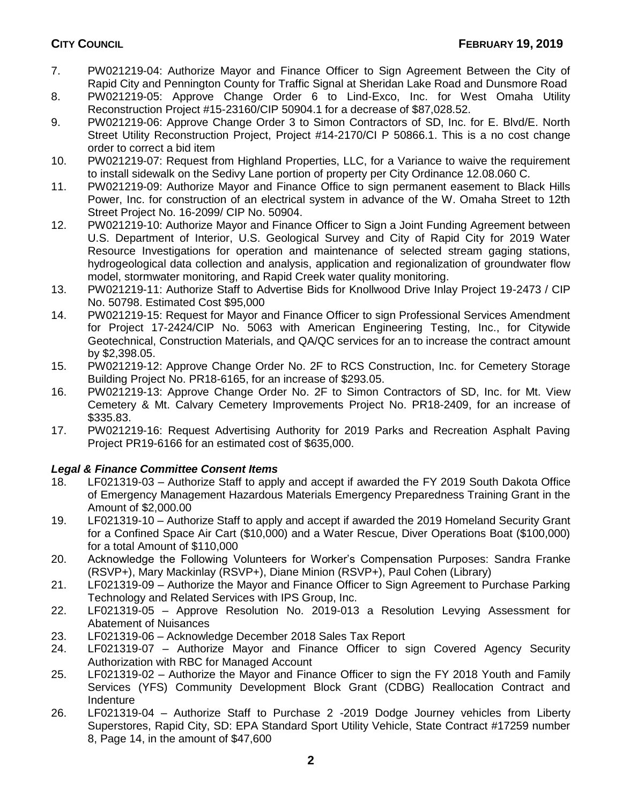- 7. PW021219-04: Authorize Mayor and Finance Officer to Sign Agreement Between the City of Rapid City and Pennington County for Traffic Signal at Sheridan Lake Road and Dunsmore Road
- 8. PW021219-05: Approve Change Order 6 to Lind-Exco, Inc. for West Omaha Utility Reconstruction Project #15-23160/CIP 50904.1 for a decrease of \$87,028.52.
- 9. PW021219-06: Approve Change Order 3 to Simon Contractors of SD, Inc. for E. Blvd/E. North Street Utility Reconstruction Project, Project #14-2170/CI P 50866.1. This is a no cost change order to correct a bid item
- 10. PW021219-07: Request from Highland Properties, LLC, for a Variance to waive the requirement to install sidewalk on the Sedivy Lane portion of property per City Ordinance 12.08.060 C.
- 11. PW021219-09: Authorize Mayor and Finance Office to sign permanent easement to Black Hills Power, Inc. for construction of an electrical system in advance of the W. Omaha Street to 12th Street Project No. 16-2099/ CIP No. 50904.
- 12. PW021219-10: Authorize Mayor and Finance Officer to Sign a Joint Funding Agreement between U.S. Department of Interior, U.S. Geological Survey and City of Rapid City for 2019 Water Resource Investigations for operation and maintenance of selected stream gaging stations, hydrogeological data collection and analysis, application and regionalization of groundwater flow model, stormwater monitoring, and Rapid Creek water quality monitoring.
- 13. PW021219-11: Authorize Staff to Advertise Bids for Knollwood Drive Inlay Project 19-2473 / CIP No. 50798. Estimated Cost \$95,000
- 14. PW021219-15: Request for Mayor and Finance Officer to sign Professional Services Amendment for Project 17-2424/CIP No. 5063 with American Engineering Testing, Inc., for Citywide Geotechnical, Construction Materials, and QA/QC services for an to increase the contract amount by \$2,398.05.
- 15. PW021219-12: Approve Change Order No. 2F to RCS Construction, Inc. for Cemetery Storage Building Project No. PR18-6165, for an increase of \$293.05.
- 16. PW021219-13: Approve Change Order No. 2F to Simon Contractors of SD, Inc. for Mt. View Cemetery & Mt. Calvary Cemetery Improvements Project No. PR18-2409, for an increase of \$335.83.
- 17. PW021219-16: Request Advertising Authority for 2019 Parks and Recreation Asphalt Paving Project PR19-6166 for an estimated cost of \$635,000.

# *Legal & Finance Committee Consent Items*

- 18. LF021319-03 Authorize Staff to apply and accept if awarded the FY 2019 South Dakota Office of Emergency Management Hazardous Materials Emergency Preparedness Training Grant in the Amount of \$2,000.00
- 19. LF021319-10 Authorize Staff to apply and accept if awarded the 2019 Homeland Security Grant for a Confined Space Air Cart (\$10,000) and a Water Rescue, Diver Operations Boat (\$100,000) for a total Amount of \$110,000
- 20. Acknowledge the Following Volunteers for Worker's Compensation Purposes: Sandra Franke (RSVP+), Mary Mackinlay (RSVP+), Diane Minion (RSVP+), Paul Cohen (Library)
- 21. LF021319-09 Authorize the Mayor and Finance Officer to Sign Agreement to Purchase Parking Technology and Related Services with IPS Group, Inc.
- 22. LF021319-05 Approve Resolution No. 2019-013 a Resolution Levying Assessment for Abatement of Nuisances
- 23. LF021319-06 Acknowledge December 2018 Sales Tax Report
- 24. LF021319-07 Authorize Mayor and Finance Officer to sign Covered Agency Security Authorization with RBC for Managed Account
- 25. LF021319-02 Authorize the Mayor and Finance Officer to sign the FY 2018 Youth and Family Services (YFS) Community Development Block Grant (CDBG) Reallocation Contract and Indenture
- 26. LF021319-04 Authorize Staff to Purchase 2 -2019 Dodge Journey vehicles from Liberty Superstores, Rapid City, SD: EPA Standard Sport Utility Vehicle, State Contract #17259 number 8, Page 14, in the amount of \$47,600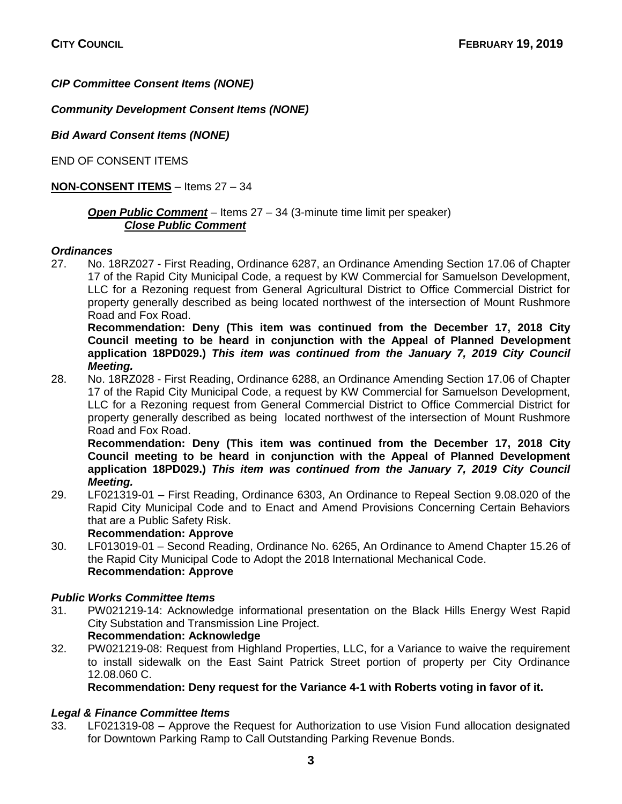# *CIP Committee Consent Items (NONE)*

# *Community Development Consent Items (NONE)*

*Bid Award Consent Items (NONE)*

END OF CONSENT ITEMS

# **NON-CONSENT ITEMS** – Items 27 – 34

# *Open Public Comment* – Items 27 – 34 (3-minute time limit per speaker) *Close Public Comment*

### *Ordinances*

27. No. 18RZ027 - First Reading, Ordinance 6287, an Ordinance Amending Section 17.06 of Chapter 17 of the Rapid City Municipal Code, a request by KW Commercial for Samuelson Development, LLC for a Rezoning request from General Agricultural District to Office Commercial District for property generally described as being located northwest of the intersection of Mount Rushmore Road and Fox Road.

**Recommendation: Deny (This item was continued from the December 17, 2018 City Council meeting to be heard in conjunction with the Appeal of Planned Development application 18PD029.)** *This item was continued from the January 7, 2019 City Council Meeting.*

28. No. 18RZ028 - First Reading, Ordinance 6288, an Ordinance Amending Section 17.06 of Chapter 17 of the Rapid City Municipal Code, a request by KW Commercial for Samuelson Development, LLC for a Rezoning request from General Commercial District to Office Commercial District for property generally described as being located northwest of the intersection of Mount Rushmore Road and Fox Road.

**Recommendation: Deny (This item was continued from the December 17, 2018 City Council meeting to be heard in conjunction with the Appeal of Planned Development application 18PD029.)** *This item was continued from the January 7, 2019 City Council Meeting.*

29. LF021319-01 – First Reading, Ordinance 6303, An Ordinance to Repeal Section 9.08.020 of the Rapid City Municipal Code and to Enact and Amend Provisions Concerning Certain Behaviors that are a Public Safety Risk.

#### **Recommendation: Approve**

30. LF013019-01 – Second Reading, Ordinance No. 6265, An Ordinance to Amend Chapter 15.26 of the Rapid City Municipal Code to Adopt the 2018 International Mechanical Code. **Recommendation: Approve**

## *Public Works Committee Items*

31. PW021219-14: Acknowledge informational presentation on the Black Hills Energy West Rapid City Substation and Transmission Line Project.

#### **Recommendation: Acknowledge** 32. PW021219-08: Request from Highland Properties, LLC, for a Variance to waive the requirement to install sidewalk on the East Saint Patrick Street portion of property per City Ordinance 12.08.060 C.

**Recommendation: Deny request for the Variance 4-1 with Roberts voting in favor of it.** 

## *Legal & Finance Committee Items*

33. LF021319-08 – Approve the Request for Authorization to use Vision Fund allocation designated for Downtown Parking Ramp to Call Outstanding Parking Revenue Bonds.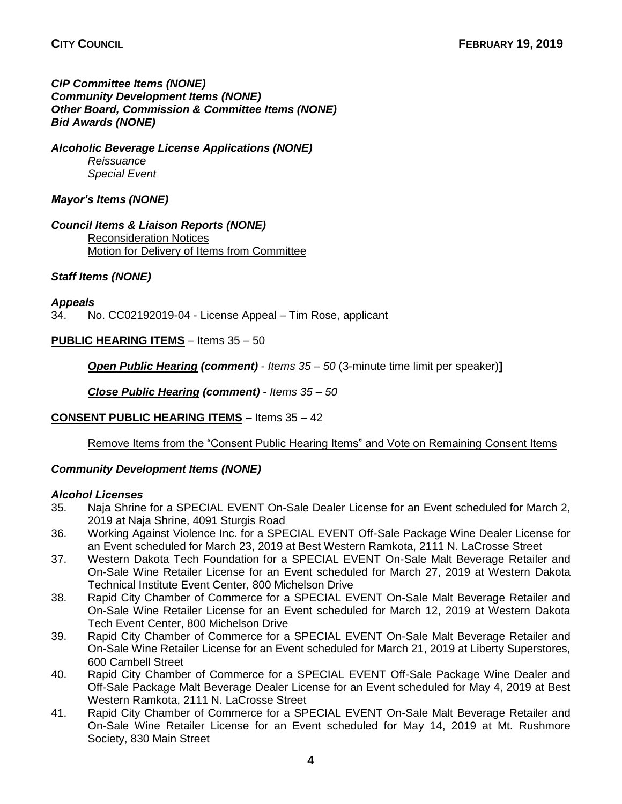## *CIP Committee Items (NONE) Community Development Items (NONE) Other Board, Commission & Committee Items (NONE) Bid Awards (NONE)*

*Alcoholic Beverage License Applications (NONE) Reissuance Special Event*

# *Mayor's Items (NONE)*

*Council Items & Liaison Reports (NONE)* Reconsideration Notices Motion for Delivery of Items from Committee

# *Staff Items (NONE)*

*Appeals*

34. No. CC02192019-04 - License Appeal – Tim Rose, applicant

**PUBLIC HEARING ITEMS** – Items 35 – 50

*Open Public Hearing (comment)* - *Items 35 – 50* (3-minute time limit per speaker)**]**

*Close Public Hearing (comment)* - *Items 35 – 50*

## **CONSENT PUBLIC HEARING ITEMS** – Items 35 – 42

Remove Items from the "Consent Public Hearing Items" and Vote on Remaining Consent Items

## *Community Development Items (NONE)*

## *Alcohol Licenses*

- 35. Naja Shrine for a SPECIAL EVENT On-Sale Dealer License for an Event scheduled for March 2, 2019 at Naja Shrine, 4091 Sturgis Road
- 36. Working Against Violence Inc. for a SPECIAL EVENT Off-Sale Package Wine Dealer License for an Event scheduled for March 23, 2019 at Best Western Ramkota, 2111 N. LaCrosse Street
- 37. Western Dakota Tech Foundation for a SPECIAL EVENT On-Sale Malt Beverage Retailer and On-Sale Wine Retailer License for an Event scheduled for March 27, 2019 at Western Dakota Technical Institute Event Center, 800 Michelson Drive
- 38. Rapid City Chamber of Commerce for a SPECIAL EVENT On-Sale Malt Beverage Retailer and On-Sale Wine Retailer License for an Event scheduled for March 12, 2019 at Western Dakota Tech Event Center, 800 Michelson Drive
- 39. Rapid City Chamber of Commerce for a SPECIAL EVENT On-Sale Malt Beverage Retailer and On-Sale Wine Retailer License for an Event scheduled for March 21, 2019 at Liberty Superstores, 600 Cambell Street
- 40. Rapid City Chamber of Commerce for a SPECIAL EVENT Off-Sale Package Wine Dealer and Off-Sale Package Malt Beverage Dealer License for an Event scheduled for May 4, 2019 at Best Western Ramkota, 2111 N. LaCrosse Street
- 41. Rapid City Chamber of Commerce for a SPECIAL EVENT On-Sale Malt Beverage Retailer and On-Sale Wine Retailer License for an Event scheduled for May 14, 2019 at Mt. Rushmore Society, 830 Main Street